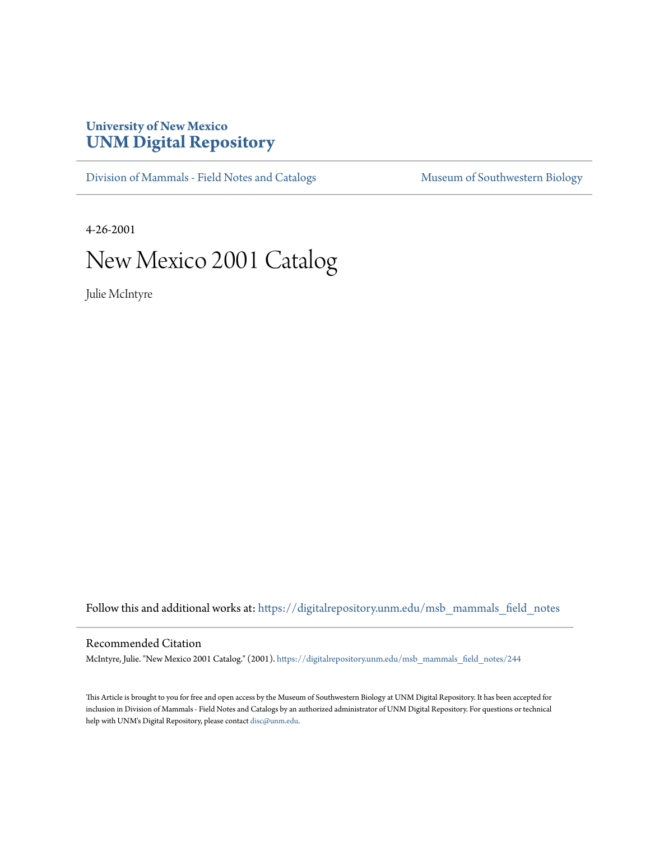## **University of New Mexico [UNM Digital Repository](https://digitalrepository.unm.edu?utm_source=digitalrepository.unm.edu%2Fmsb_mammals_field_notes%2F244&utm_medium=PDF&utm_campaign=PDFCoverPages)**

[Division of Mammals - Field Notes and Catalogs](https://digitalrepository.unm.edu/msb_mammals_field_notes?utm_source=digitalrepository.unm.edu%2Fmsb_mammals_field_notes%2F244&utm_medium=PDF&utm_campaign=PDFCoverPages) [Museum of Southwestern Biology](https://digitalrepository.unm.edu/msb?utm_source=digitalrepository.unm.edu%2Fmsb_mammals_field_notes%2F244&utm_medium=PDF&utm_campaign=PDFCoverPages)

4-26-2001

## New Mexico 2001 Catalog

Julie McIntyre

Follow this and additional works at: [https://digitalrepository.unm.edu/msb\\_mammals\\_field\\_notes](https://digitalrepository.unm.edu/msb_mammals_field_notes?utm_source=digitalrepository.unm.edu%2Fmsb_mammals_field_notes%2F244&utm_medium=PDF&utm_campaign=PDFCoverPages)

## Recommended Citation

McIntyre, Julie. "New Mexico 2001 Catalog." (2001). [https://digitalrepository.unm.edu/msb\\_mammals\\_field\\_notes/244](https://digitalrepository.unm.edu/msb_mammals_field_notes/244?utm_source=digitalrepository.unm.edu%2Fmsb_mammals_field_notes%2F244&utm_medium=PDF&utm_campaign=PDFCoverPages)

This Article is brought to you for free and open access by the Museum of Southwestern Biology at UNM Digital Repository. It has been accepted for inclusion in Division of Mammals - Field Notes and Catalogs by an authorized administrator of UNM Digital Repository. For questions or technical help with UNM's Digital Repository, please contact [disc@unm.edu](mailto:disc@unm.edu).